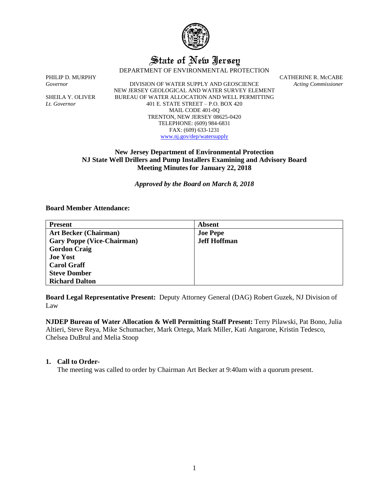

# State of New Jersey

DEPARTMENT OF ENVIRONMENTAL PROTECTION

*Governor* DIVISION OF WATER SUPPLY AND GEOSCIENCE *Acting Commissioner* NEW JERSEY GEOLOGICAL AND WATER SURVEY ELEMENT SHEILA Y. OLIVER BUREAU OF WATER ALLOCATION AND WELL PERMITTING *Lt. Governor* 401 E. STATE STREET – P.O. BOX 420 MAIL CODE 401-0Q TRENTON, NEW JERSEY 08625-0420 TELEPHONE: (609) 984-6831 FAX: (609) 633-1231 [www.nj.gov/dep/watersupply](http://www.nj.gov/dep/watersupply)

PHILIP D. MURPHY CATHERINE R. McCABE

# **New Jersey Department of Environmental Protection NJ State Well Drillers and Pump Installers Examining and Advisory Board Meeting Minutes for January 22, 2018**

*Approved by the Board on March 8, 2018*

#### **Board Member Attendance:**

| <b>Present</b>                    | <b>Absent</b>       |
|-----------------------------------|---------------------|
| <b>Art Becker (Chairman)</b>      | <b>Joe Pepe</b>     |
| <b>Gary Poppe (Vice-Chairman)</b> | <b>Jeff Hoffman</b> |
| <b>Gordon Craig</b>               |                     |
| <b>Joe Yost</b>                   |                     |
| <b>Carol Graff</b>                |                     |
| <b>Steve Domber</b>               |                     |
| <b>Richard Dalton</b>             |                     |

**Board Legal Representative Present:** Deputy Attorney General (DAG) Robert Guzek, NJ Division of Law

**NJDEP Bureau of Water Allocation & Well Permitting Staff Present:** Terry Pilawski, Pat Bono, Julia Altieri, Steve Reya, Mike Schumacher, Mark Ortega, Mark Miller, Kati Angarone, Kristin Tedesco, Chelsea DuBrul and Melia Stoop

#### **1. Call to Order-**

The meeting was called to order by Chairman Art Becker at 9:40am with a quorum present.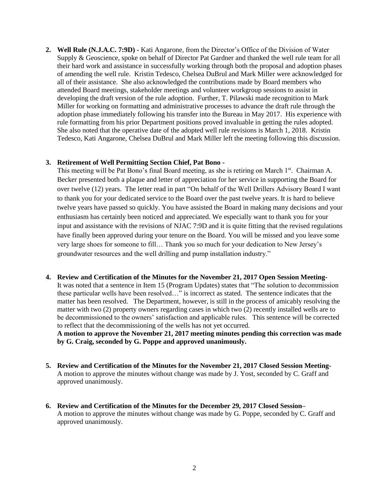**2. Well Rule (N.J.A.C. 7:9D) -** Kati Angarone, from the Director's Office of the Division of Water Supply & Geoscience, spoke on behalf of Director Pat Gardner and thanked the well rule team for all their hard work and assistance in successfully working through both the proposal and adoption phases of amending the well rule. Kristin Tedesco, Chelsea DuBrul and Mark Miller were acknowledged for all of their assistance. She also acknowledged the contributions made by Board members who attended Board meetings, stakeholder meetings and volunteer workgroup sessions to assist in developing the draft version of the rule adoption. Further, T. Pilawski made recognition to Mark Miller for working on formatting and administrative processes to advance the draft rule through the adoption phase immediately following his transfer into the Bureau in May 2017. His experience with rule formatting from his prior Department positions proved invaluable in getting the rules adopted. She also noted that the operative date of the adopted well rule revisions is March 1, 2018. Kristin Tedesco, Kati Angarone, Chelsea DuBrul and Mark Miller left the meeting following this discussion.

# **3. Retirement of Well Permitting Section Chief, Pat Bono -**

This meeting will be Pat Bono's final Board meeting, as she is retiring on March 1st. Chairman A. Becker presented both a plaque and letter of appreciation for her service in supporting the Board for over twelve (12) years. The letter read in part "On behalf of the Well Drillers Advisory Board I want to thank you for your dedicated service to the Board over the past twelve years. It is hard to believe twelve years have passed so quickly. You have assisted the Board in making many decisions and your enthusiasm has certainly been noticed and appreciated. We especially want to thank you for your input and assistance with the revisions of NJAC 7:9D and it is quite fitting that the revised regulations have finally been approved during your tenure on the Board. You will be missed and you leave some very large shoes for someone to fill… Thank you so much for your dedication to New Jersey's groundwater resources and the well drilling and pump installation industry."

**4. Review and Certification of the Minutes for the November 21, 2017 Open Session Meeting-**It was noted that a sentence in Item 15 (Program Updates) states that "The solution to decommission these particular wells have been resolved…" is incorrect as stated. The sentence indicates that the matter has been resolved. The Department, however, is still in the process of amicably resolving the matter with two (2) property owners regarding cases in which two (2) recently installed wells are to be decommissioned to the owners' satisfaction and applicable rules. This sentence will be corrected to reflect that the decommissioning of the wells has not yet occurred.

**A motion to approve the November 21, 2017 meeting minutes pending this correction was made by G. Craig, seconded by G. Poppe and approved unanimously.** 

- **5. Review and Certification of the Minutes for the November 21, 2017 Closed Session Meeting-**A motion to approve the minutes without change was made by J. Yost, seconded by C. Graff and approved unanimously.
- **6. Review and Certification of the Minutes for the December 29, 2017 Closed Session–** A motion to approve the minutes without change was made by G. Poppe, seconded by C. Graff and approved unanimously.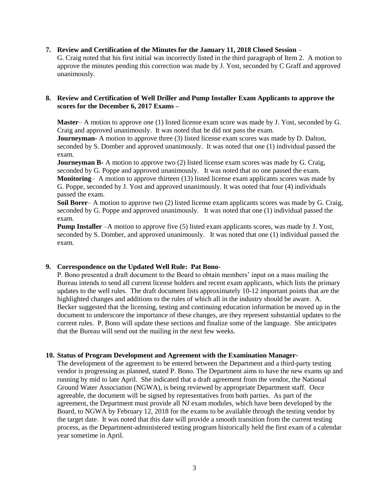#### **7. Review and Certification of the Minutes for the January 11, 2018 Closed Session** –

G. Craig noted that his first initial was incorrectly listed in the third paragraph of Item 2. A motion to approve the minutes pending this correction was made by J. Yost, seconded by C Graff and approved unanimously.

#### **8. Review and Certification of Well Driller and Pump Installer Exam Applicants to approve the scores for the December 6, 2017 Exams –**

**Master**– A motion to approve one (1) listed license exam score was made by J. Yost, seconded by G. Craig and approved unanimously. It was noted that he did not pass the exam.

**Journeyman-** A motion to approve three (3) listed license exam scores was made by D. Dalton, seconded by S. Domber and approved unanimously. It was noted that one (1) individual passed the exam.

**Journeyman B-** A motion to approve two (2) listed license exam scores was made by G. Craig, seconded by G. Poppe and approved unanimously. It was noted that no one passed the exam. **Monitoring**– A motion to approve thirteen (13) listed license exam applicants scores was made by G. Poppe, seconded by J. Yost and approved unanimously. It was noted that four (4) individuals passed the exam.

**Soil Borer**– A motion to approve two (2) listed license exam applicants scores was made by G. Craig, seconded by G. Poppe and approved unanimously. It was noted that one (1) individual passed the exam.

**Pump Installer** –A motion to approve five (5) listed exam applicants scores, was made by J. Yost, seconded by S. Domber, and approved unanimously. It was noted that one (1) individual passed the exam.

## **9. Correspondence on the Updated Well Rule: Pat Bono**-

P. Bono presented a draft document to the Board to obtain members' input on a mass mailing the Bureau intends to send all current license holders and recent exam applicants, which lists the primary updates to the well rules. The draft document lists approximately 10-12 important points that are the highlighted changes and additions to the rules of which all in the industry should be aware. A. Becker suggested that the licensing, testing and continuing education information be moved up in the document to underscore the importance of these changes, are they represent substantial updates to the current rules. P. Bono will update these sections and finalize some of the language. She anticipates that the Bureau will send out the mailing in the next few weeks.

## **10. Status of Program Development and Agreement with the Examination Manager-**

The development of the agreement to be entered between the Department and a third-party testing vendor is progressing as planned, stated P. Bono. The Department aims to have the new exams up and running by mid to late April. She indicated that a draft agreement from the vendor, the National Ground Water Association (NGWA), is being reviewed by appropriate Department staff. Once agreeable, the document will be signed by representatives from both parties. As part of the agreement, the Department must provide all NJ exam modules, which have been developed by the Board, to NGWA by February 12, 2018 for the exams to be available through the testing vendor by the target date. It was noted that this date will provide a smooth transition from the current testing process, as the Department-administered testing program historically held the first exam of a calendar year sometime in April.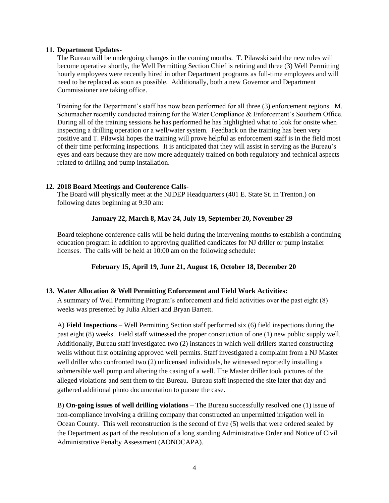#### **11. Department Updates-**

The Bureau will be undergoing changes in the coming months. T. Pilawski said the new rules will become operative shortly, the Well Permitting Section Chief is retiring and three (3) Well Permitting hourly employees were recently hired in other Department programs as full-time employees and will need to be replaced as soon as possible. Additionally, both a new Governor and Department Commissioner are taking office.

Training for the Department's staff has now been performed for all three (3) enforcement regions. M. Schumacher recently conducted training for the Water Compliance & Enforcement's Southern Office. During all of the training sessions he has performed he has highlighted what to look for onsite when inspecting a drilling operation or a well/water system. Feedback on the training has been very positive and T. Pilawski hopes the training will prove helpful as enforcement staff is in the field most of their time performing inspections. It is anticipated that they will assist in serving as the Bureau's eyes and ears because they are now more adequately trained on both regulatory and technical aspects related to drilling and pump installation.

## **12. 2018 Board Meetings and Conference Calls-**

The Board will physically meet at the NJDEP Headquarters (401 E. State St. in Trenton.) on following dates beginning at 9:30 am:

# **January 22, March 8, May 24, July 19, September 20, November 29**

Board telephone conference calls will be held during the intervening months to establish a continuing education program in addition to approving qualified candidates for NJ driller or pump installer licenses. The calls will be held at 10:00 am on the following schedule:

## **February 15, April 19, June 21, August 16, October 18, December 20**

## **13. Water Allocation & Well Permitting Enforcement and Field Work Activities:**

A summary of Well Permitting Program's enforcement and field activities over the past eight (8) weeks was presented by Julia Altieri and Bryan Barrett.

A) **Field Inspections** – Well Permitting Section staff performed six (6) field inspections during the past eight (8) weeks. Field staff witnessed the proper construction of one (1) new public supply well. Additionally, Bureau staff investigated two (2) instances in which well drillers started constructing wells without first obtaining approved well permits. Staff investigated a complaint from a NJ Master well driller who confronted two (2) unlicensed individuals, he witnessed reportedly installing a submersible well pump and altering the casing of a well. The Master driller took pictures of the alleged violations and sent them to the Bureau. Bureau staff inspected the site later that day and gathered additional photo documentation to pursue the case.

B) **On-going issues of well drilling violations** – The Bureau successfully resolved one (1) issue of non-compliance involving a drilling company that constructed an unpermitted irrigation well in Ocean County. This well reconstruction is the second of five (5) wells that were ordered sealed by the Department as part of the resolution of a long standing Administrative Order and Notice of Civil Administrative Penalty Assessment (AONOCAPA).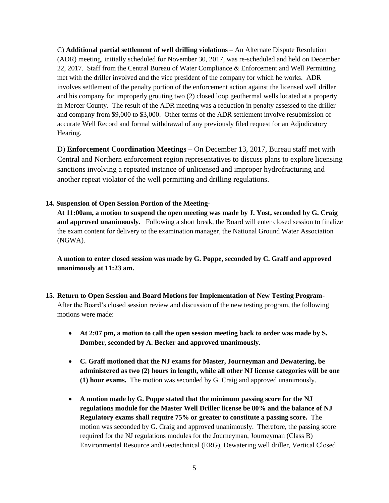C) **Additional partial settlement of well drilling violations** – An Alternate Dispute Resolution (ADR) meeting, initially scheduled for November 30, 2017, was re-scheduled and held on December 22, 2017. Staff from the Central Bureau of Water Compliance & Enforcement and Well Permitting met with the driller involved and the vice president of the company for which he works. ADR involves settlement of the penalty portion of the enforcement action against the licensed well driller and his company for improperly grouting two (2) closed loop geothermal wells located at a property in Mercer County. The result of the ADR meeting was a reduction in penalty assessed to the driller and company from \$9,000 to \$3,000. Other terms of the ADR settlement involve resubmission of accurate Well Record and formal withdrawal of any previously filed request for an Adjudicatory Hearing.

D) **Enforcement Coordination Meetings** – On December 13, 2017, Bureau staff met with Central and Northern enforcement region representatives to discuss plans to explore licensing sanctions involving a repeated instance of unlicensed and improper hydrofracturing and another repeat violator of the well permitting and drilling regulations.

## **14. Suspension of Open Session Portion of the Meeting-**

**At 11:00am, a motion to suspend the open meeting was made by J. Yost, seconded by G. Craig and approved unanimously.** Following a short break, the Board will enter closed session to finalize the exam content for delivery to the examination manager, the National Ground Water Association (NGWA).

**A motion to enter closed session was made by G. Poppe, seconded by C. Graff and approved unanimously at 11:23 am.**

- **15. Return to Open Session and Board Motions for Implementation of New Testing Program-**After the Board's closed session review and discussion of the new testing program, the following motions were made:
	- **At 2:07 pm, a motion to call the open session meeting back to order was made by S. Domber, seconded by A. Becker and approved unanimously.**
	- **C. Graff motioned that the NJ exams for Master, Journeyman and Dewatering, be administered as two (2) hours in length, while all other NJ license categories will be one (1) hour exams.** The motion was seconded by G. Craig and approved unanimously.
	- **A motion made by G. Poppe stated that the minimum passing score for the NJ regulations module for the Master Well Driller license be 80% and the balance of NJ Regulatory exams shall require 75% or greater to constitute a passing score.** The motion was seconded by G. Craig and approved unanimously. Therefore, the passing score required for the NJ regulations modules for the Journeyman, Journeyman (Class B) Environmental Resource and Geotechnical (ERG), Dewatering well driller, Vertical Closed